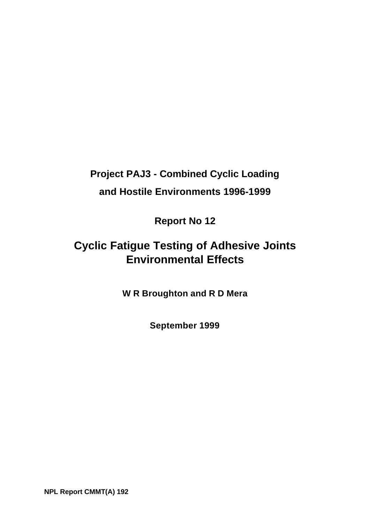# **Project PAJ3 - Combined Cyclic Loading and Hostile Environments 1996-1999**

**Report No 12**

## **Cyclic Fatigue Testing of Adhesive Joints Environmental Effects**

**W R Broughton and R D Mera**

**September 1999**

**NPL Report CMMT(A) 192**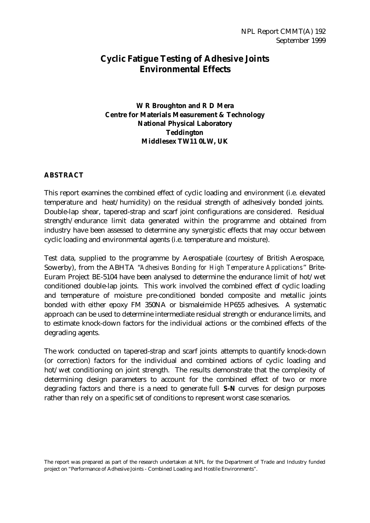## **Cyclic Fatigue Testing of Adhesive Joints Environmental Effects**

#### **W R Broughton and R D Mera Centre for Materials Measurement & Technology National Physical Laboratory Teddington Middlesex TW11 0LW, UK**

#### **ABSTRACT**

This report examines the combined effect of cyclic loading and environment (i.e. elevated temperature and heat/humidity) on the residual strength of adhesively bonded joints. Double-lap shear, tapered-strap and scarf joint configurations are considered. Residual strength/endurance limit data generated within the programme and obtained from industry have been assessed to determine any synergistic effects that may occur between cyclic loading and environmental agents (i.e. temperature and moisture).

Test data, supplied to the programme by Aerospatiale (courtesy of British Aerospace, Sowerby), from the ABHTA "*Adhesives Bonding for High Temperature Applications*" Brite-Euram Project BE-5104 have been analysed to determine the endurance limit of hot/wet conditioned double-lap joints. This work involved the combined effect of cyclic loading and temperature of moisture pre-conditioned bonded composite and metallic joints bonded with either epoxy FM 350NA or bismaleimide HP655 adhesives. A systematic approach can be used to determine intermediate residual strength or endurance limits, and to estimate knock-down factors for the individual actions or the combined effects of the degrading agents.

The work conducted on tapered-strap and scarf joints attempts to quantify knock-down (or correction) factors for the individual and combined actions of cyclic loading and hot/wet conditioning on joint strength. The results demonstrate that the complexity of determining design parameters to account for the combined effect of two or more degrading factors and there is a need to generate full **S-N** curves for design purposes rather than rely on a specific set of conditions to represent worst case scenarios.

The report was prepared as part of the research undertaken at NPL for the Department of Trade and Industry funded project on "Performance of Adhesive Joints - Combined Loading and Hostile Environments".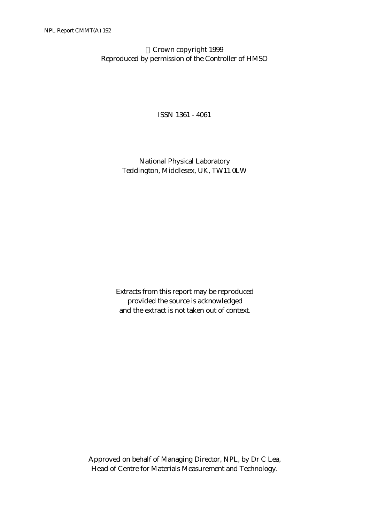Crown copyright 1999 Reproduced by permission of the Controller of HMSO

ISSN 1361 - 4061

National Physical Laboratory Teddington, Middlesex, UK, TW11 0LW

Extracts from this report may be reproduced provided the source is acknowledged and the extract is not taken out of context.

Approved on behalf of Managing Director, NPL, by Dr C Lea, Head of Centre for Materials Measurement and Technology.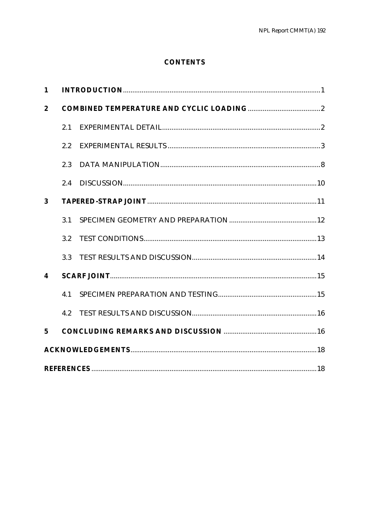## **CONTENTS**

| 1                |     |  |  |  |  |
|------------------|-----|--|--|--|--|
| $\boldsymbol{2}$ |     |  |  |  |  |
|                  | 2.1 |  |  |  |  |
|                  | 2.2 |  |  |  |  |
|                  | 2.3 |  |  |  |  |
|                  | 2.4 |  |  |  |  |
| 3                |     |  |  |  |  |
|                  | 3.1 |  |  |  |  |
|                  | 3.2 |  |  |  |  |
|                  | 3.3 |  |  |  |  |
| 4                |     |  |  |  |  |
|                  | 4.1 |  |  |  |  |
|                  | 4.2 |  |  |  |  |
| $5\overline{ }$  |     |  |  |  |  |
|                  |     |  |  |  |  |
|                  |     |  |  |  |  |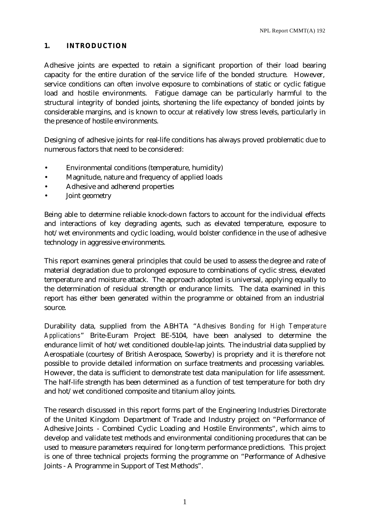#### **1. INTRODUCTION**

Adhesive joints are expected to retain a significant proportion of their load bearing capacity for the entire duration of the service life of the bonded structure. However, service conditions can often involve exposure to combinations of static or cyclic fatigue load and hostile environments. Fatigue damage can be particularly harmful to the structural integrity of bonded joints, shortening the life expectancy of bonded joints by considerable margins, and is known to occur at relatively low stress levels, particularly in the presence of hostile environments.

Designing of adhesive joints for real-life conditions has always proved problematic due to numerous factors that need to be considered:

- Environmental conditions (temperature, humidity)
- Magnitude, nature and frequency of applied loads
- Adhesive and adherend properties
- Joint geometry

Being able to determine reliable knock-down factors to account for the individual effects and interactions of key degrading agents, such as elevated temperature, exposure to hot/wet environments and cyclic loading, would bolster confidence in the use of adhesive technology in aggressive environments.

This report examines general principles that could be used to assess the degree and rate of material degradation due to prolonged exposure to combinations of cyclic stress, elevated temperature and moisture attack. The approach adopted is universal, applying equally to the determination of residual strength or endurance limits. The data examined in this report has either been generated within the programme or obtained from an industrial source.

Durability data, supplied from the ABHTA "*Adhesives Bonding for High Temperature Applications*" Brite-Euram Project BE-5104, have been analysed to determine the endurance limit of hot/wet conditioned double-lap joints. The industrial data supplied by Aerospatiale (courtesy of British Aerospace, Sowerby) is propriety and it is therefore not possible to provide detailed information on surface treatments and processing variables. However, the data is sufficient to demonstrate test data manipulation for life assessment. The half-life strength has been determined as a function of test temperature for both dry and hot/wet conditioned composite and titanium alloy joints.

The research discussed in this report forms part of the Engineering Industries Directorate of the United Kingdom Department of Trade and Industry project on "Performance of Adhesive Joints - Combined Cyclic Loading and Hostile Environments", which aims to develop and validate test methods and environmental conditioning procedures that can be used to measure parameters required for long-term performance predictions. This project is one of three technical projects forming the programme on "Performance of Adhesive Joints - A Programme in Support of Test Methods".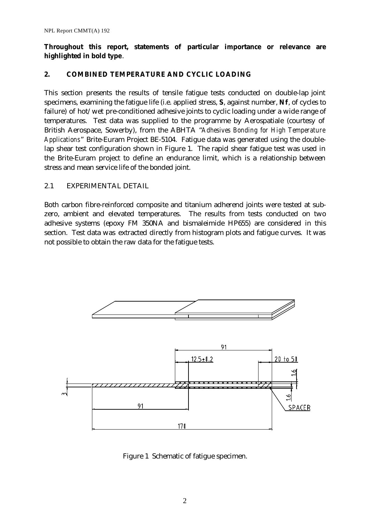#### **Throughout this report, statements of particular importance or relevance are highlighted in bold type**.

#### **2. COMBINED TEMPERATURE AND CYCLIC LOADING**

This section presents the results of tensile fatigue tests conducted on double-lap joint specimens, examining the fatigue life (i.e. applied stress, **S**, against number, **Nf**, of cycles to failure) of hot/wet pre-conditioned adhesive joints to cyclic loading under a wide range of temperatures. Test data was supplied to the programme by Aerospatiale (courtesy of British Aerospace, Sowerby), from the ABHTA "*Adhesives Bonding for High Temperature Applications*" Brite-Euram Project BE-5104. Fatigue data was generated using the doublelap shear test configuration shown in Figure 1. The rapid shear fatigue test was used in the Brite-Euram project to define an endurance limit, which is a relationship between stress and mean service life of the bonded joint.

#### 2.1 EXPERIMENTAL DETAIL

Both carbon fibre-reinforced composite and titanium adherend joints were tested at subzero, ambient and elevated temperatures. The results from tests conducted on two adhesive systems (epoxy FM 350NA and bismaleimide HP655) are considered in this section. Test data was extracted directly from histogram plots and fatigue curves. It was not possible to obtain the raw data for the fatigue tests.



Figure 1 Schematic of fatigue specimen.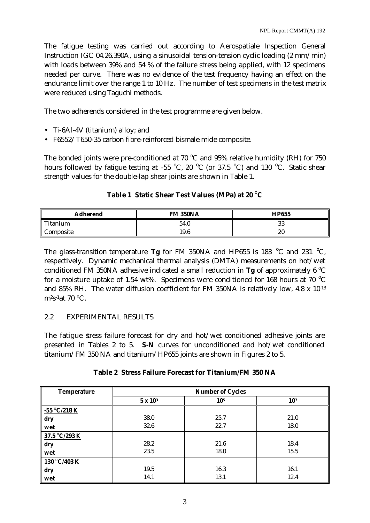The fatigue testing was carried out according to Aerospatiale Inspection General Instruction IGC 04.26.390A, using a sinusoidal tension-tension cyclic loading (2 mm/min) with loads between 39% and 54 % of the failure stress being applied, with 12 specimens needed per curve. There was no evidence of the test frequency having an effect on the endurance limit over the range 1 to 10 Hz. The number of test specimens in the test matrix were reduced using Taguchi methods.

The two adherends considered in the test programme are given below.

- Ti-6Al-4V (titanium) alloy; and
- F6552/T650-35 carbon fibre-reinforced bismaleimide composite.

The bonded joints were pre-conditioned at 70  $^{\circ}$ C and 95% relative humidity (RH) for 750 hours followed by fatigue testing at -55 °C, 20 °C (or 37.5 °C) and 130 °C. Static shear strength values for the double-lap shear joints are shown in Table 1.

### **Table 1 Static Shear Test Values (MPa) at 20 <sup>o</sup>C**

| <b>Adherend</b> | <b>FM 350NA</b> | <b>HP655</b> |
|-----------------|-----------------|--------------|
| Titanium        | 54.0            | 33           |
| Composite       | 19.6            | 20           |

The glass-transition temperature **Tg** for FM 350NA and HP655 is 183 <sup>o</sup>C and 231 <sup>o</sup>C, respectively. Dynamic mechanical thermal analysis (DMTA) measurements on hot/wet conditioned FM 350NA adhesive indicated a small reduction in **Tg** of approximately 6  $^{\circ}$ C for a moisture uptake of 1.54 wt%. Specimens were conditioned for 168 hours at 70  $^{\circ}$ C and 85% RH. The water diffusion coefficient for FM 350NA is relatively low, 4.8 x 10-13  $\rm m^2s$ <sup>-1</sup>at 70 °C.

#### 2.2 EXPERIMENTAL RESULTS

The fatigue stress failure forecast for dry and hot/wet conditioned adhesive joints are presented in Tables 2 to 5. **S-N** curves for unconditioned and hot/wet conditioned titanium/FM 350 NA and titanium/HP655 joints are shown in Figures 2 to 5.

|  |  |  |  |  | <b>Table 2 Stress Failure Forecast for Titanium/FM 350 NA</b> |  |  |  |
|--|--|--|--|--|---------------------------------------------------------------|--|--|--|
|--|--|--|--|--|---------------------------------------------------------------|--|--|--|

| <b>Temperature</b> | <b>Number of Cycles</b> |      |      |  |
|--------------------|-------------------------|------|------|--|
|                    | $5 \times 10^3$         | 105  | 107  |  |
| $-55$ °C/218 K     |                         |      |      |  |
| dry                | 38.0                    | 25.7 | 21.0 |  |
| wet                | 32.6                    | 22.7 | 18.0 |  |
| 37.5 °C/293 K      |                         |      |      |  |
| dry                | 28.2                    | 21.6 | 18.4 |  |
| wet                | 23.5                    | 18.0 | 15.5 |  |
| 130 °C/403 K       |                         |      |      |  |
| dry                | 19.5                    | 16.3 | 16.1 |  |
| wet                | 14.1                    | 13.1 | 12.4 |  |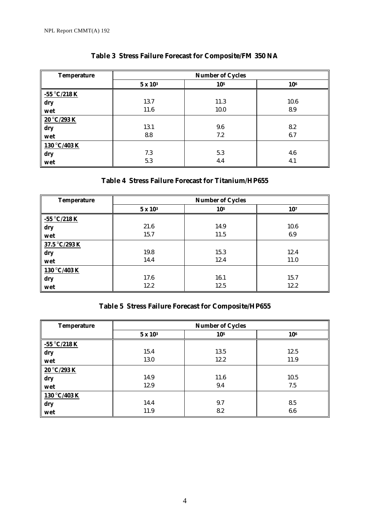| <b>Temperature</b> | <b>Number of Cycles</b> |      |      |  |
|--------------------|-------------------------|------|------|--|
|                    | $5 \times 10^3$         | 105  | 106  |  |
| $-55$ °C/218 K     |                         |      |      |  |
| dry                | 13.7                    | 11.3 | 10.6 |  |
| wet                | 11.6                    | 10.0 | 8.9  |  |
| 20 °C/293 K        |                         |      |      |  |
| dry                | 13.1                    | 9.6  | 8.2  |  |
| wet                | 8.8                     | 7.2  | 6.7  |  |
| 130 °C/403 K       |                         |      |      |  |
| dry                | 7.3                     | 5.3  | 4.6  |  |
| wet                | 5.3                     | 4.4  | 4.1  |  |

## **Table 3 Stress Failure Forecast for Composite/FM 350 NA**

## **Table 4 Stress Failure Forecast for Titanium/HP655**

| <b>Temperature</b> | <b>Number of Cycles</b> |      |      |  |
|--------------------|-------------------------|------|------|--|
|                    | $5 \times 10^3$         | 105  | 107  |  |
| $-55 °C/218 K$     |                         |      |      |  |
| dry                | 21.6                    | 14.9 | 10.6 |  |
| wet                | 15.7                    | 11.5 | 6.9  |  |
| 37.5 °C/293 K      |                         |      |      |  |
| dry                | 19.8                    | 15.3 | 12.4 |  |
| wet                | 14.4                    | 12.4 | 11.0 |  |
| 130 °C/403 K       |                         |      |      |  |
| dry                | 17.6                    | 16.1 | 15.7 |  |
| wet                | 12.2                    | 12.5 | 12.2 |  |

## **Table 5 Stress Failure Forecast for Composite/HP655**

| <b>Temperature</b> | <b>Number of Cycles</b> |      |      |  |
|--------------------|-------------------------|------|------|--|
|                    | $5 \times 10^3$         | 105  | 106  |  |
| $-55 °C/218 K$     |                         |      |      |  |
| dry                | 15.4                    | 13.5 | 12.5 |  |
| wet                | 13.0                    | 12.2 | 11.9 |  |
| 20 °C/293 K        |                         |      |      |  |
| dry                | 14.9                    | 11.6 | 10.5 |  |
| wet                | 12.9                    | 9.4  | 7.5  |  |
| 130 °C/403 K       |                         |      |      |  |
| dry                | 14.4                    | 9.7  | 8.5  |  |
| wet                | 11.9                    | 8.2  | 6.6  |  |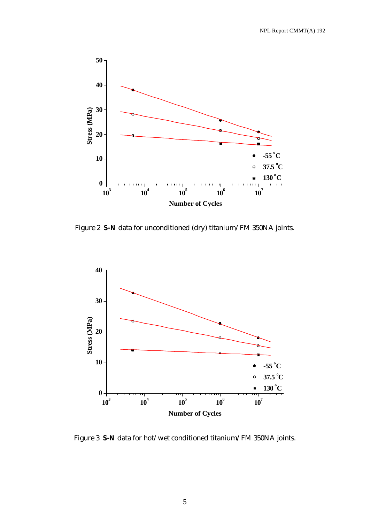

Figure 2 **S-N** data for unconditioned (dry) titanium/FM 350NA joints.



Figure 3 **S-N** data for hot/wet conditioned titanium/FM 350NA joints.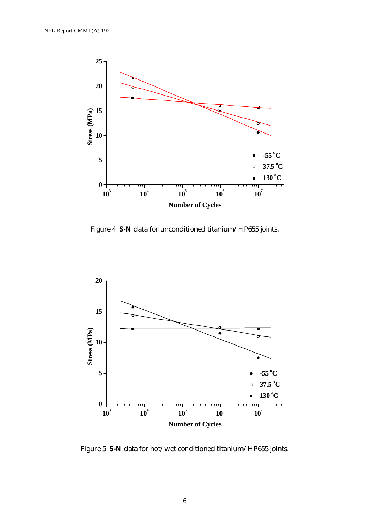

Figure 4 **S-N** data for unconditioned titanium/HP655 joints.



Figure 5 **S-N** data for hot/wet conditioned titanium/HP655 joints.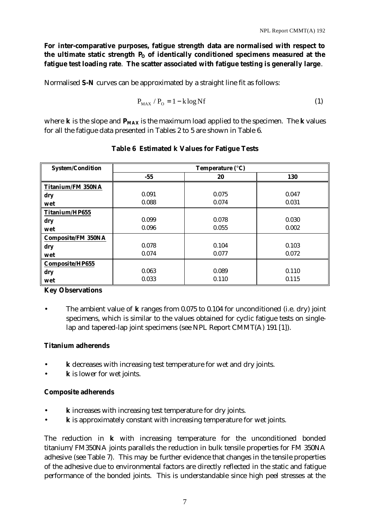**For inter-comparative purposes, fatigue strength data are normalised with respect to**  the ultimate static strength P<sub>O</sub> of identically conditioned specimens measured at the **fatigue test loading rate**. **The scatter associated with fatigue testing is generally large**.

Normalised **S-N** curves can be approximated by a straight line fit as follows:

$$
P_{MAX} / P_0 = 1 - k \log Nf \tag{1}
$$

where **k** is the slope and **PMAX** is the maximum load applied to the specimen. The **k** values for all the fatigue data presented in Tables 2 to 5 are shown in Table 6.

| <b>System/Condition</b>   | Temperature (°C) |       |            |  |
|---------------------------|------------------|-------|------------|--|
|                           | $-55$            | 20    | <b>130</b> |  |
| <b>Titanium/FM 350NA</b>  |                  |       |            |  |
| dry                       | 0.091            | 0.075 | 0.047      |  |
| wet                       | 0.088            | 0.074 | 0.031      |  |
| Titanium/HP655            |                  |       |            |  |
| dry                       | 0.099            | 0.078 | 0.030      |  |
| wet                       | 0.096            | 0.055 | 0.002      |  |
| <b>Composite/FM 350NA</b> |                  |       |            |  |
| dry                       | 0.078            | 0.104 | 0.103      |  |
| wet                       | 0.074            | 0.077 | 0.072      |  |
| Composite/HP655           |                  |       |            |  |
| dry                       | 0.063            | 0.089 | 0.110      |  |
| wet                       | 0.033            | 0.110 | 0.115      |  |

#### **Table 6 Estimated k Values for Fatigue Tests**

#### **Key Observations**

• The ambient value of **k** ranges from 0.075 to 0.104 for unconditioned (i.e. dry) joint specimens, which is similar to the values obtained for cyclic fatigue tests on singlelap and tapered-lap joint specimens (see NPL Report CMMT(A) 191 [1]).

#### **Titanium adherends**

- **k** decreases with increasing test temperature for wet and dry joints.
- **k** is lower for wet joints.

#### **Composite adherends**

- **k** increases with increasing test temperature for dry joints.
- **k** is approximately constant with increasing temperature for wet joints.

The reduction in **k** with increasing temperature for the unconditioned bonded titanium/FM350NA joints parallels the reduction in bulk tensile properties for FM 350NA adhesive (see Table 7). This may be further evidence that changes in the tensile properties of the adhesive due to environmental factors are directly reflected in the static and fatigue performance of the bonded joints. This is understandable since high peel stresses at the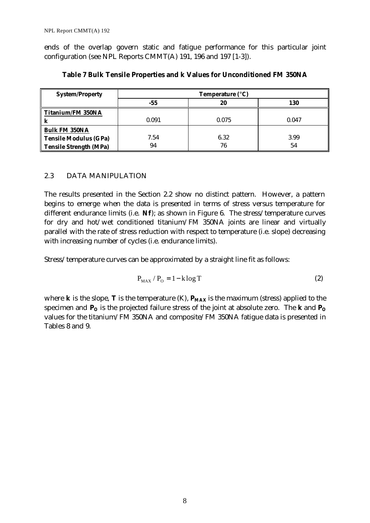ends of the overlap govern static and fatigue performance for this particular joint configuration (see NPL Reports CMMT(A) 191, 196 and 197 [1-3]).

| <b>System/Property</b>   | Temperature (°C) |       |       |
|--------------------------|------------------|-------|-------|
|                          | -55              | 20    | 130   |
| <b>Titanium/FM 350NA</b> |                  |       |       |
|                          | 0.091            | 0.075 | 0.047 |
| <b>Bulk FM 350NA</b>     |                  |       |       |
| Tensile Modulus (GPa)    | 7.54             | 6.32  | 3.99  |
| Tensile Strength (MPa)   | 94               | 76    | 54    |

**Table 7 Bulk Tensile Properties and k Values for Unconditioned FM 350NA**

#### 2.3 DATA MANIPULATION

The results presented in the Section 2.2 show no distinct pattern. However, a pattern begins to emerge when the data is presented in terms of stress versus temperature for different endurance limits (i.e. **Nf**); as shown in Figure 6. The stress/temperature curves for dry and hot/wet conditioned titanium/FM 350NA joints are linear and virtually parallel with the rate of stress reduction with respect to temperature (i.e. slope) decreasing with increasing number of cycles (i.e. endurance limits).

Stress/temperature curves can be approximated by a straight line fit as follows:

$$
P_{MAX} / P_0 = 1 - k \log T \tag{2}
$$

where **k** is the slope, **T** is the temperature (K),  $P_{MAX}$  is the maximum (stress) applied to the specimen and **PO** is the projected failure stress of the joint at absolute zero. The **k** and **P<sup>O</sup>** values for the titanium/FM 350NA and composite/FM 350NA fatigue data is presented in Tables 8 and 9.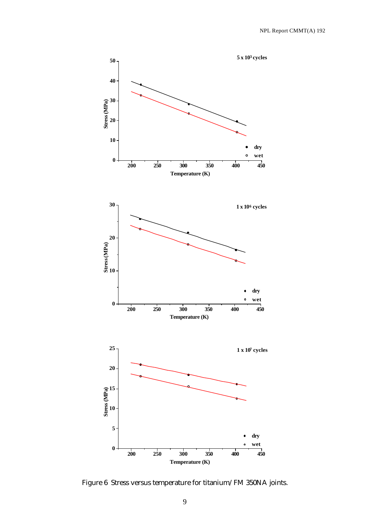

Figure 6 Stress versus temperature for titanium/FM 350NA joints.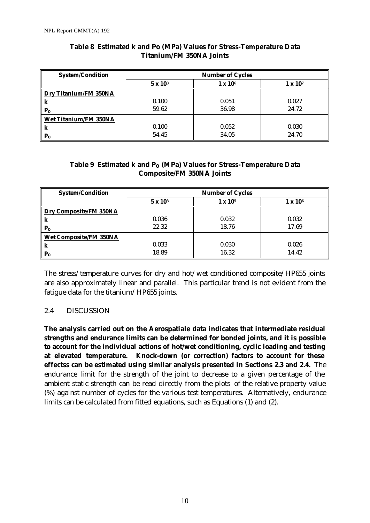| <b>System/Condition</b>      | <b>Number of Cycles</b> |                 |                 |  |
|------------------------------|-------------------------|-----------------|-----------------|--|
|                              | $5 \times 10^3$         | $1 \times 10^6$ | $1 \times 10^7$ |  |
| <b>Dry Titanium/FM 350NA</b> |                         |                 |                 |  |
| k                            | 0.100                   | 0.051           | 0.027           |  |
| $P_{\Omega}$                 | 59.62                   | 36.98           | 24.72           |  |
| <b>Wet Titanium/FM 350NA</b> |                         |                 |                 |  |
| k                            | 0.100                   | 0.052           | 0.030           |  |
| $P_{O}$                      | 54.45                   | 34.05           | 24.70           |  |

#### **Table 8 Estimated k and Po (MPa) Values for Stress-Temperature Data Titanium/FM 350NA Joints**

#### **Table 9 Estimated k and PO (MPa) Values for Stress-Temperature Data Composite/FM 350NA Joints**

| <b>System/Condition</b>       | <b>Number of Cycles</b> |                     |                 |
|-------------------------------|-------------------------|---------------------|-----------------|
|                               | $5 \times 10^3$         | 1 x 10 <sup>5</sup> | $1 \times 10^6$ |
| <b>Dry Composite/FM 350NA</b> |                         |                     |                 |
| k                             | 0.036                   | 0.032               | 0.032           |
| $P_{O}$                       | 22.32                   | 18.76               | 17.69           |
| <b>Wet Composite/FM 350NA</b> |                         |                     |                 |
| k                             | 0.033                   | 0.030               | 0.026           |
| $P_{O}$                       | 18.89                   | 16.32               | 14.42           |

The stress/temperature curves for dry and hot/wet conditioned composite/HP655 joints are also approximately linear and parallel. This particular trend is not evident from the fatigue data for the titanium/HP655 joints.

#### 2.4 DISCUSSION

**The analysis carried out on the Aerospatiale data indicates that intermediate residual strengths and endurance limits can be determined for bonded joints, and it is possible to account for the individual actions of hot/wet conditioning, cyclic loading and testing at elevated temperature. Knock-down (or correction) factors to account for these effectss can be estimated using similar analysis presented in Sections 2.3 and 2.4.** The endurance limit for the strength of the joint to decrease to a given percentage of the ambient static strength can be read directly from the plots of the relative property value (%) against number of cycles for the various test temperatures. Alternatively, endurance limits can be calculated from fitted equations, such as Equations (1) and (2).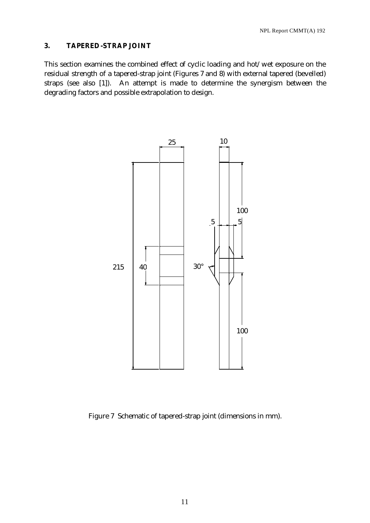#### **3. TAPERED-STRAP JOINT**

This section examines the combined effect of cyclic loading and hot/wet exposure on the residual strength of a tapered-strap joint (Figures 7 and 8) with external tapered (bevelled) straps (see also [1]). An attempt is made to determine the synergism between the degrading factors and possible extrapolation to design.



Figure 7 Schematic of tapered-strap joint (dimensions in mm).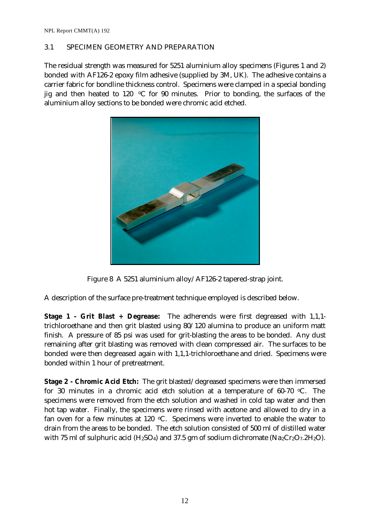#### 3.1 SPECIMEN GEOMETRY AND PREPARATION

The residual strength was measured for 5251 aluminium alloy specimens (Figures 1 and 2) bonded with AF126-2 epoxy film adhesive (supplied by 3M, UK). The adhesive contains a carrier fabric for bondline thickness control. Specimens were clamped in a special bonding jig and then heated to 120  $\degree$ C for 90 minutes. Prior to bonding, the surfaces of the aluminium alloy sections to be bonded were chromic acid etched.



Figure 8 A 5251 aluminium alloy/AF126-2 tapered-strap joint.

A description of the surface pre-treatment technique employed is described below.

**Stage 1 - Grit Blast + Degrease:** The adherends were first degreased with 1,1,1 trichloroethane and then grit blasted using 80/120 alumina to produce an uniform matt finish. A pressure of 85 psi was used for grit-blasting the areas to be bonded. Any dust remaining after grit blasting was removed with clean compressed air. The surfaces to be bonded were then degreased again with 1,1,1-trichloroethane and dried. Specimens were bonded within 1 hour of pretreatment.

**Stage 2 - Chromic Acid Etch:** The grit blasted/degreased specimens were then immersed for 30 minutes in a chromic acid etch solution at a temperature of  $60-70$  °C. The specimens were removed from the etch solution and washed in cold tap water and then hot tap water. Finally, the specimens were rinsed with acetone and allowed to dry in a fan oven for a few minutes at 120  $\degree$ C. Specimens were inverted to enable the water to drain from the areas to be bonded. The etch solution consisted of 500 ml of distilled water with 75 ml of sulphuric acid ( $H_2SO_4$ ) and 37.5 gm of sodium dichromate ( $Na_2Cr_2O_7.2H_2O$ ).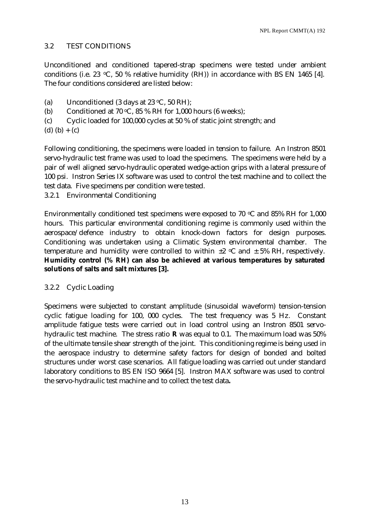#### 3.2 TEST CONDITIONS

Unconditioned and conditioned tapered-strap specimens were tested under ambient conditions (i.e. 23  $\degree$ C, 50 % relative humidity (RH)) in accordance with BS EN 1465 [4]. The four conditions considered are listed below:

- (a) Unconditioned (3 days at 23  $\degree$ C, 50 RH);
- (b) Conditioned at 70  $\mathrm{C}$ , 85 % RH for 1,000 hours (6 weeks);
- (c) Cyclic loaded for 100,000 cycles at 50 % of static joint strength; and
- (d)  $(b) + (c)$

Following conditioning, the specimens were loaded in tension to failure. An Instron 8501 servo-hydraulic test frame was used to load the specimens. The specimens were held by a pair of well aligned servo-hydraulic operated wedge-action grips with a lateral pressure of 100 psi. Instron Series IX software was used to control the test machine and to collect the test data. Five specimens per condition were tested.

3.2.1 Environmental Conditioning

Environmentally conditioned test specimens were exposed to 70  $\degree$ C and 85% RH for 1,000 hours. This particular environmental conditioning regime is commonly used within the aerospace/defence industry to obtain knock-down factors for design purposes. Conditioning was undertaken using a Climatic System environmental chamber. The temperature and humidity were controlled to within  $\pm 2$  °C and  $\pm$  5% RH, respectively. **Humidity control (% RH) can also be achieved at various temperatures by saturated solutions of salts and salt mixtures [3].**

#### 3.2.2 Cyclic Loading

Specimens were subjected to constant amplitude (sinusoidal waveform) tension-tension cyclic fatigue loading for 100, 000 cycles. The test frequency was 5 Hz. Constant amplitude fatigue tests were carried out in load control using an Instron 8501 servohydraulic test machine. The stress ratio **R** was equal to 0.1. The maximum load was 50% of the ultimate tensile shear strength of the joint. This conditioning regime is being used in the aerospace industry to determine safety factors for design of bonded and bolted structures under worst case scenarios. All fatigue loading was carried out under standard laboratory conditions to BS EN ISO 9664 [5]. Instron MAX software was used to control the servo-hydraulic test machine and to collect the test data**.**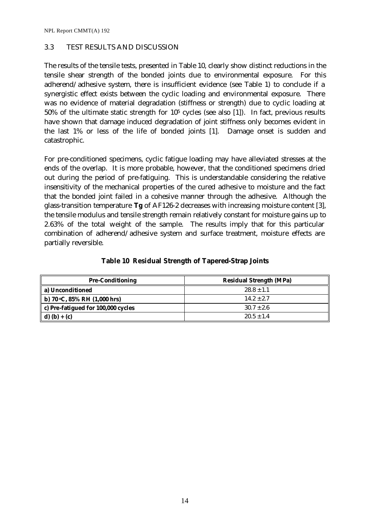NPL Report CMMT(A) 192

#### 3.3 TEST RESULTS AND DISCUSSION

The results of the tensile tests, presented in Table 10, clearly show distinct reductions in the tensile shear strength of the bonded joints due to environmental exposure. For this adherend/adhesive system, there is insufficient evidence (see Table 1) to conclude if a synergistic effect exists between the cyclic loading and environmental exposure. There was no evidence of material degradation (stiffness or strength) due to cyclic loading at  $50\%$  of the ultimate static strength for  $10<sup>5</sup>$  cycles (see also [1]). In fact, previous results have shown that damage induced degradation of joint stiffness only becomes evident in the last 1% or less of the life of bonded joints [1]. Damage onset is sudden and catastrophic.

For pre-conditioned specimens, cyclic fatigue loading may have alleviated stresses at the ends of the overlap. It is more probable, however, that the conditioned specimens dried out during the period of pre-fatiguing. This is understandable considering the relative insensitivity of the mechanical properties of the cured adhesive to moisture and the fact that the bonded joint failed in a cohesive manner through the adhesive. Although the glass-transition temperature **Tg** of AF126-2 decreases with increasing moisture content [3], the tensile modulus and tensile strength remain relatively constant for moisture gains up to 2.63% of the total weight of the sample. The results imply that for this particular combination of adherend/adhesive system and surface treatment, moisture effects are partially reversible.

| <b>Pre-Conditioning</b>                 | <b>Residual Strength (MPa)</b> |
|-----------------------------------------|--------------------------------|
| a) Unconditioned                        | $28.8 \pm 1.1$                 |
| b) 70 °C, 85% RH $(1,000 \text{ hrs})$  | $14.2 \pm 2.7$                 |
| c) Pre-fatigued for 100,000 cycles      | $30.7 \pm 2.6$                 |
| $\mathbf{d}(\mathbf{b}) + (\mathbf{c})$ | $20.5 \pm 1.4$                 |

**Table 10 Residual Strength of Tapered-Strap Joints**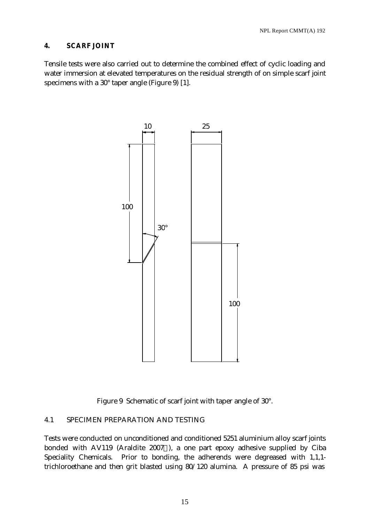#### **4. SCARF JOINT**

Tensile tests were also carried out to determine the combined effect of cyclic loading and water immersion at elevated temperatures on the residual strength of on simple scarf joint specimens with a 30° taper angle (Figure 9) [1].



Figure 9 Schematic of scarf joint with taper angle of 30°.

#### 4.1 SPECIMEN PREPARATION AND TESTING

Tests were conducted on unconditioned and conditioned 5251 aluminium alloy scarf joints bonded with AV119 (Araldite 2007®), a one part epoxy adhesive supplied by Ciba Speciality Chemicals. Prior to bonding, the adherends were degreased with 1,1,1 trichloroethane and then grit blasted using 80/120 alumina. A pressure of 85 psi was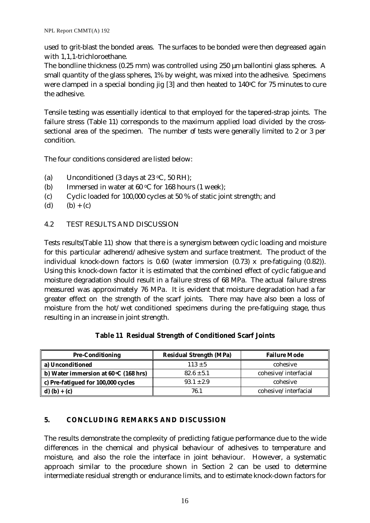used to grit-blast the bonded areas. The surfaces to be bonded were then degreased again with 1,1,1-trichloroethane.

The bondline thickness (0.25 mm) was controlled using 250 μm ballontini glass spheres. A small quantity of the glass spheres, 1% by weight, was mixed into the adhesive. Specimens were clamped in a special bonding jig  $[3]$  and then heated to 140 $\degree$ C for 75 minutes to cure the adhesive.

Tensile testing was essentially identical to that employed for the tapered-strap joints. The failure stress (Table 11) corresponds to the maximum applied load divided by the crosssectional area of the specimen. The number of tests were generally limited to 2 or 3 per condition.

The four conditions considered are listed below:

- (a) Unconditioned (3 days at 23  $\degree$ C, 50 RH);
- (b) Immersed in water at  $60 °C$  for 168 hours (1 week);
- (c) Cyclic loaded for 100,000 cycles at 50 % of static joint strength; and
- (d)  $(b) + (c)$
- 4.2 TEST RESULTS AND DISCUSSION

Tests results(Table 11) show that there is a synergism between cyclic loading and moisture for this particular adherend/adhesive system and surface treatment. The product of the individual knock-down factors is 0.60 (water immersion (0.73) x pre-fatiguing (0.82)). Using this knock-down factor it is estimated that the combined effect of cyclic fatigue and moisture degradation should result in a failure stress of 68 MPa. The actual failure stress measured was approximately 76 MPa. It is evident that moisture degradation had a far greater effect on the strength of the scarf joints. There may have also been a loss of moisture from the hot/wet conditioned specimens during the pre-fatiguing stage, thus resulting in an increase in joint strength.

| <b>Pre-Conditioning</b>                           | <b>Residual Strength (MPa)</b> | <b>Failure Mode</b>  |
|---------------------------------------------------|--------------------------------|----------------------|
| a) Unconditioned                                  | $113 \pm 5$                    | cohesive             |
| b) Water immersion at $60 °C$ (168 hrs)           | $82.6 \pm 5.1$                 | cohesive/interfacial |
| c) Pre-fatigued for 100,000 cycles                | $93.1 \pm 2.9$                 | cohesive             |
| $\mathbf{d}(\mathbf{b}) + \mathbf{c}(\mathbf{c})$ | 76.1                           | cohesive/interfacial |

#### **Table 11 Residual Strength of Conditioned Scarf Joints**

#### **5. CONCLUDING REMARKS AND DISCUSSION**

The results demonstrate the complexity of predicting fatigue performance due to the wide differences in the chemical and physical behaviour of adhesives to temperature and moisture, and also the role the interface in joint behaviour. However, a systematic approach similar to the procedure shown in Section 2 can be used to determine intermediate residual strength or endurance limits, and to estimate knock-down factors for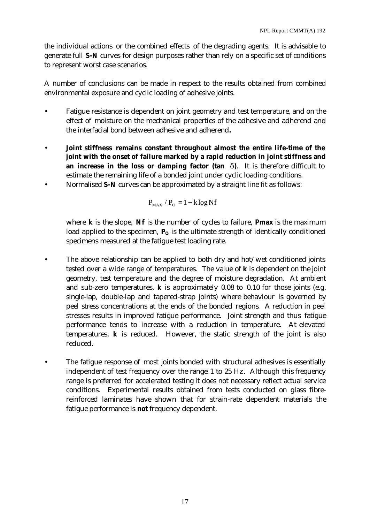the individual actions or the combined effects of the degrading agents. It is advisable to generate full **S-N** curves for design purposes rather than rely on a specific set of conditions to represent worst case scenarios.

A number of conclusions can be made in respect to the results obtained from combined environmental exposure and cyclic loading of adhesive joints.

- Fatigue resistance is dependent on joint geometry and test temperature, and on the effect of moisture on the mechanical properties of the adhesive and adherend and the interfacial bond between adhesive and adherend**.**
- **Joint stiffness remains constant throughout almost the entire life-time of the joint with the onset of failure marked by a rapid reduction in joint stiffness and an increase in the loss or damping factor (tan d)**. It is therefore difficult to estimate the remaining life of a bonded joint under cyclic loading conditions.
- Normalised **S-N** curves can be approximated by a straight line fit as follows:

$$
P_{MAX} / P_{O} = 1 - k \log Nf
$$

where **k** is the slope, **Nf** is the number of cycles to failure, **Pmax** is the maximum load applied to the specimen,  $\mathbf{P}_{\mathbf{O}}$  is the ultimate strength of identically conditioned specimens measured at the fatigue test loading rate.

- The above relationship can be applied to both dry and hot/wet conditioned joints tested over a wide range of temperatures. The value of **k** is dependent on the joint geometry, test temperature and the degree of moisture degradation. At ambient and sub-zero temperatures, **k** is approximately 0.08 to 0.10 for those joints (e.g. single-lap, double-lap and tapered-strap joints) where behaviour is governed by peel stress concentrations at the ends of the bonded regions. A reduction in peel stresses results in improved fatigue performance. Joint strength and thus fatigue performance tends to increase with a reduction in temperature. At elevated temperatures, **k** is reduced. However, the static strength of the joint is also reduced.
- The fatigue response of most joints bonded with structural adhesives is essentially independent of test frequency over the range 1 to 25 Hz. Although this frequency range is preferred for accelerated testing it does not necessary reflect actual service conditions. Experimental results obtained from tests conducted on glass fibrereinforced laminates have shown that for strain-rate dependent materials the fatigue performance is **not** frequency dependent.